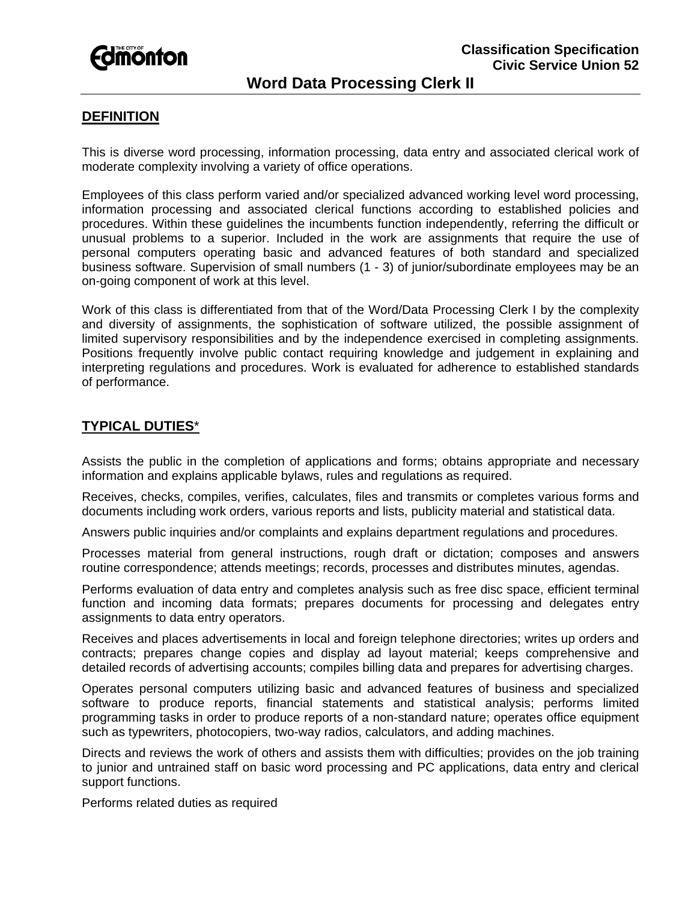

# **Word Data Processing Clerk II**

#### **DEFINITION**

This is diverse word processing, information processing, data entry and associated clerical work of moderate complexity involving a variety of office operations.

Employees of this class perform varied and/or specialized advanced working level word processing, information processing and associated clerical functions according to established policies and procedures. Within these guidelines the incumbents function independently, referring the difficult or unusual problems to a superior. Included in the work are assignments that require the use of personal computers operating basic and advanced features of both standard and specialized business software. Supervision of small numbers (1 - 3) of junior/subordinate employees may be an on-going component of work at this level.

Work of this class is differentiated from that of the Word/Data Processing Clerk I by the complexity and diversity of assignments, the sophistication of software utilized, the possible assignment of limited supervisory responsibilities and by the independence exercised in completing assignments. Positions frequently involve public contact requiring knowledge and judgement in explaining and interpreting regulations and procedures. Work is evaluated for adherence to established standards of performance.

### **TYPICAL DUTIES**\*

Assists the public in the completion of applications and forms; obtains appropriate and necessary information and explains applicable bylaws, rules and regulations as required.

Receives, checks, compiles, verifies, calculates, files and transmits or completes various forms and documents including work orders, various reports and lists, publicity material and statistical data.

Answers public inquiries and/or complaints and explains department regulations and procedures.

Processes material from general instructions, rough draft or dictation; composes and answers routine correspondence; attends meetings; records, processes and distributes minutes, agendas.

Performs evaluation of data entry and completes analysis such as free disc space, efficient terminal function and incoming data formats; prepares documents for processing and delegates entry assignments to data entry operators.

Receives and places advertisements in local and foreign telephone directories; writes up orders and contracts; prepares change copies and display ad layout material; keeps comprehensive and detailed records of advertising accounts; compiles billing data and prepares for advertising charges.

Operates personal computers utilizing basic and advanced features of business and specialized software to produce reports, financial statements and statistical analysis; performs limited programming tasks in order to produce reports of a non-standard nature; operates office equipment such as typewriters, photocopiers, two-way radios, calculators, and adding machines.

Directs and reviews the work of others and assists them with difficulties; provides on the job training to junior and untrained staff on basic word processing and PC applications, data entry and clerical support functions.

Performs related duties as required